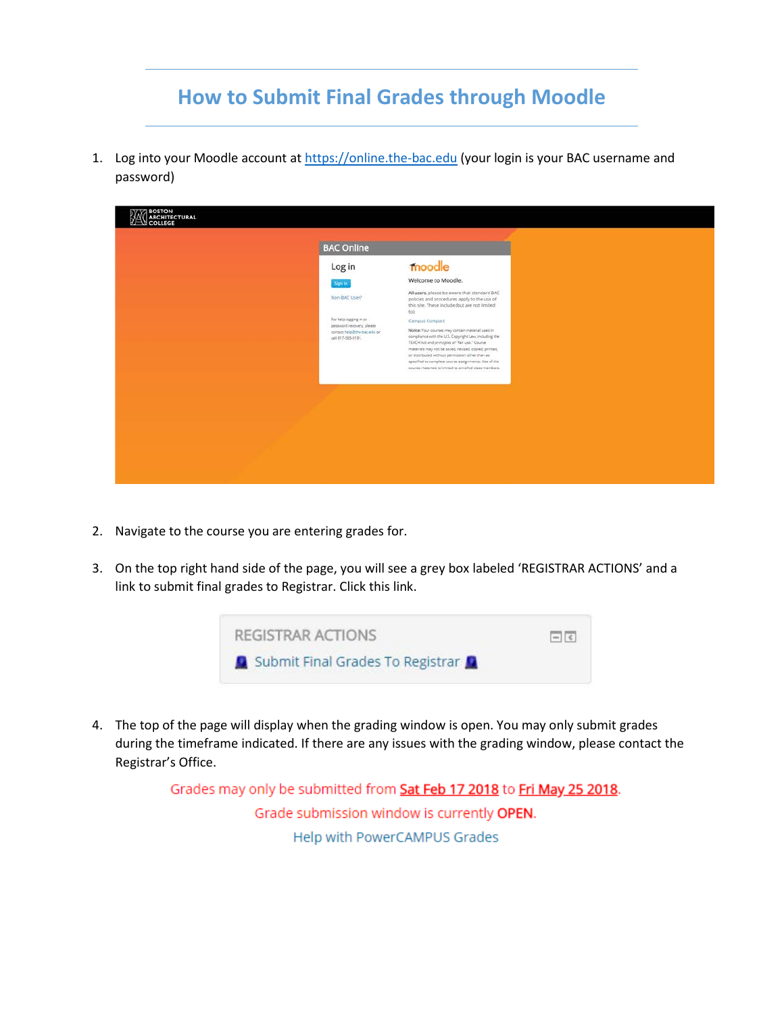## **How to Submit Final Grades through Moodle**

1. Log into your Moodle account at [https://online.the-bac.edu](https://online.the-bac.edu/) (your login is your BAC username and password)

| <b>BAC Online</b><br>moodle<br>Log in<br>Welcome to Moodle.<br>Sign In<br>All users, please be aware that standard BAC<br>Non-BAC User?<br>policies and procedures apply to the use of<br>this site. These include (but are not limited<br>tor.<br>For help logging in or<br>Campus Compact<br>password recovery, please<br>Notice: Your courses may contain material used in<br>contact help@the-bacedu or<br>compliance with the U.S. Copyright Law, including the<br>call 617-585-0191.<br>TEACH Act and principles of "fair use." Course.<br>materials may not be saved, revised, copied, printed,<br>or distributed without permission other than as<br>specified to complete course assignments. Use of the<br>course materials is limited to enrolled class members. | <b>AN BOSTON</b><br>COLLEGE |
|-----------------------------------------------------------------------------------------------------------------------------------------------------------------------------------------------------------------------------------------------------------------------------------------------------------------------------------------------------------------------------------------------------------------------------------------------------------------------------------------------------------------------------------------------------------------------------------------------------------------------------------------------------------------------------------------------------------------------------------------------------------------------------|-----------------------------|
|                                                                                                                                                                                                                                                                                                                                                                                                                                                                                                                                                                                                                                                                                                                                                                             |                             |
|                                                                                                                                                                                                                                                                                                                                                                                                                                                                                                                                                                                                                                                                                                                                                                             |                             |
|                                                                                                                                                                                                                                                                                                                                                                                                                                                                                                                                                                                                                                                                                                                                                                             |                             |
|                                                                                                                                                                                                                                                                                                                                                                                                                                                                                                                                                                                                                                                                                                                                                                             |                             |
|                                                                                                                                                                                                                                                                                                                                                                                                                                                                                                                                                                                                                                                                                                                                                                             |                             |

- 2. Navigate to the course you are entering grades for.
- 3. On the top right hand side of the page, you will see a grey box labeled 'REGISTRAR ACTIONS' and a link to submit final grades to Registrar. Click this link.



4. The top of the page will display when the grading window is open. You may only submit grades during the timeframe indicated. If there are any issues with the grading window, please contact the Registrar's Office.

> Grades may only be submitted from Sat Feb 17 2018 to Fri May 25 2018. Grade submission window is currently OPEN. Help with PowerCAMPUS Grades